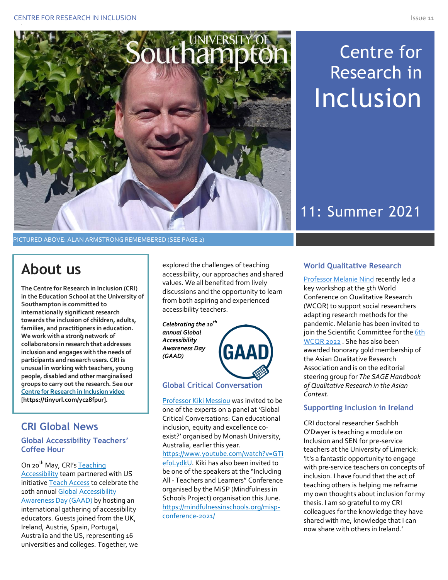

PICTURED ABOVE: ALAN ARMSTRONG REMEMBERED (SEE PAGE 2)

## **About us**

ç **families, and practitioners in education. The Centre for Research in Inclusion (CRI) in the Education School at the University of Southampton is committed to internationally significant research towards the inclusion of children, adults, We work with a strong network of collaborators in research that addresses inclusion and engages with the needs of participants and research users. CRI is unusual in working with teachers, young people, disabled and other marginalised groups to carry out the research. See our Centre for Research in Inclusion video [https://tinyurl.com/yc28fpur].**

## **CRI Global News**

**Global Accessibility Teachers' Coffee Hour**

On 20<sup>th</sup> May, CRI's Teaching Accessibility team partnered with US initiative Teach Access to celebrate the 10th annual Global Accessibility Awareness Day (GAAD) by hosting an international gathering of accessibility educators. Guests joined from the UK, Ireland, Austria, Spain, Portugal, Australia and the US, representing 16 universities and colleges. Together, we

explored the challenges of teaching accessibility, our approaches and shared values. We all benefited from lively discussions and the opportunity to learn from both aspiring and experienced accessibility teachers.

*Celebrating the 10th annual Global Accessibility Awareness Day (GAAD)*



#### **Global Critical Conversation**

Professor Kiki Messiou was invited to be one of the experts on a panel at 'Global Critical Conversations: Can educational inclusion, equity and excellence coexist?' organised by Monash University, Australia, earlier this year. https://www.youtube.com/watch?v=GTi ef0LydkU. Kiki has also been invited to be one of the speakers at the "Including All - Teachers and Learners" Conference organised by the MiSP (Mindfulness in Schools Project) organisation this June. https://mindfulnessinschools.org/mispconference-2021/

# Centre for Research in **Inclusion**

# 11: Summer 2021

## **World Qualitative Research**

Professor Melanie Nind recently led a key workshop at the 5th World Conference on Qualitative Research (WCQR) to support social researchers adapting research methods for the pandemic. Melanie has been invited to join the Scientific Committee for the 6th WCQR 2022 . She has also been awarded honorary gold membership of the Asian Qualitative Research Association and is on the editorial steering group for *The SAGE Handbook of Qualitative Research in the Asian Context*.

## **Supporting Inclusion in Ireland**

CRI doctoral researcher Sadhbh O'Dwyer is teaching a module on Inclusion and SEN for pre-service teachers at the University of Limerick: 'It's a fantastic opportunity to engage with pre-service teachers on concepts of inclusion. I have found that the act of teaching others is helping me reframe my own thoughts about inclusion for my thesis. I am so grateful to my CRI colleagues for the knowledge they have shared with me, knowledge that I can now share with others in Ireland.'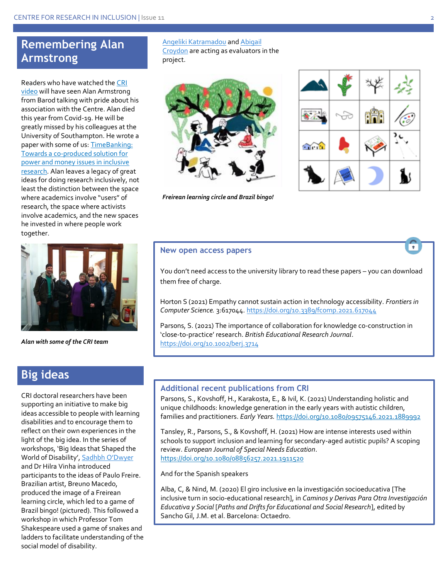## **Remembering Alan Armstrong**

Readers who have watched the CRI video will have seen Alan Armstrong from Barod talking with pride about his association with the Centre. Alan died this year from Covid-19. He will be greatly missed by his colleagues at the University of Southampton. He wrote a paper with some of us: TimeBanking: Towards a co-produced solution for power and money issues in inclusive research. Alan leaves a legacy of great ideas for doing research inclusively, not least the distinction between the space where academics involve "users" of research, the space where activists involve academics, and the new spaces he invested in where people work together.



*Alan with some of the CRI team*

## **Big ideas**

CRI doctoral researchers have been supporting an initiative to make big ideas accessible to people with learning disabilities and to encourage them to reflect on their own experiences in the light of the big idea. In the series of workshops, 'Big Ideas that Shaped the World of Disability', Sadhbh O'Dwyer and Dr Hilra Vinha introduced participants to the ideas of Paulo Freire. Brazilian artist, Breuno Macedo, produced the image of a Freirean learning circle, which led to a game of Brazil bingo! (pictured). This followed a workshop in which Professor Tom Shakespeare used a game of snakes and ladders to facilitate understanding of the social model of disability.

#### Angeliki Katramadou and Abigail

Croydon are acting as evaluators in the project.



*Freirean learning circle and Brazil bingo!*



#### **New open access papers**

You don't need access to the university library to read these papers – you can download them free of charge.

Horton S (2021) Empathy cannot sustain action in technology accessibility. *Frontiers in Computer Science.* 3:617044. https://doi.org/10.3389/fcomp.2021.617044

Parsons, S. (2021) The importance of collaboration for knowledge co‐construction in 'close‐to‐practice' research. *British Educational Research Journal*. https://doi.org/10.1002/berj.3714

#### **Additional recent publications from CRI**

Parsons, S., Kovshoff, H., Karakosta, E.*,* & Ivil, K. (2021) Understanding holistic and unique childhoods: knowledge generation in the early years with autistic children, families and practitioners. *Early Years.* https://doi.org/10.1080/09575146.2021.1889992

Tansley, R., Parsons, S., & Kovshoff, H. (2021) How are intense interests used within schools to support inclusion and learning for secondary-aged autistic pupils? A scoping review. *European Journal of Special Needs Education*. https://doi.org/10.1080/08856257.2021.1911520

And for the Spanish speakers

Alba, C, & Nind, M. (2020) El giro inclusive en la investigación socioeducativa [The inclusive turn in soci0-educational research], in *Caminos y Derivas Para Otra Investigación Educativa y Social* [*Paths and Drifts for Educational and Social Research*], edited by Sancho Gil, J.M. et al. Barcelona: Octaedro.

٠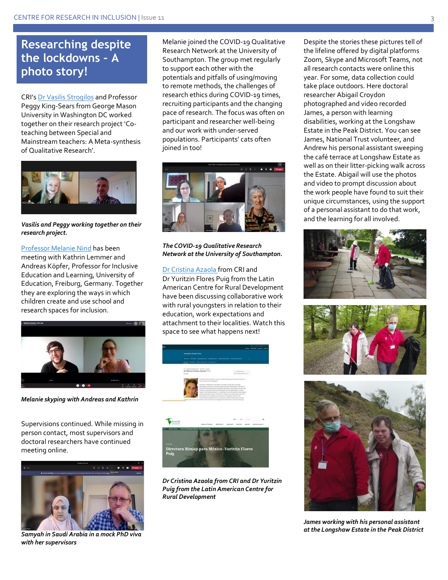## **Researching despite the lockdowns – A photo story!**

CRI's Dr Vasilis Strogilos and Professor Peggy King-Sears from George Mason University in Washington DC worked together on their research project 'Coteaching between Special and Mainstream teachers: A Meta-synthesis of Qualitative Research'.



*Vasilis and Peggy working together on their research project.*

Professor Melanie Nind has been meeting with Kathrin Lemmer and Andreas Köpfer, Professor for Inclusive Education and Learning, University of Education, Freiburg, Germany. Together they are exploring the ways in which children create and use school and research spaces for inclusion.



*Melanie skyping with Andreas and Kathrin*

Supervisions continued. While missing in person contact, most supervisors and doctoral researchers have continued meeting online.



*Samyah in Saudi Arabia in a mock PhD viva with her supervisors*

Melanie joined the COVID-19 Qualitative Research Network at the University of Southampton. The group met regularly to support each other with the potentials and pitfalls of using/moving to remote methods, the challenges of research ethics during COVID-19 times, recruiting participants and the changing pace of research. The focus was often on participant and researcher well-being and our work with under-served populations. Participants' cats often joined in too!



#### *The COVID-19 Qualitative Research Network at the University of Southampton.*

Dr Cristina Azaola from CRI and Dr Yuritzin Flores Puig from the Latin American Centre for Rural Development have been discussing collaborative work with rural youngsters in relation to their education, work expectations and attachment to their localities. Watch this space to see what happens next!



*Dr Cristina Azaola from CRI and Dr Yuritzin Puig from the Latin American Centre for Rural Development*

Despite the stories these pictures tell of the lifeline offered by digital platforms Zoom, Skype and Microsoft Teams, not all research contacts were online this year. For some, data collection could take place outdoors. Here doctoral researcher Abigail Croydon photographed and video recorded James, a person with learning disabilities, working at the Longshaw Estate in the Peak District. You can see James, National Trust volunteer, and Andrew his personal assistant sweeping the café terrace at Longshaw Estate as well as on their litter-picking walk across the Estate. Abigail will use the photos and video to prompt discussion about the work people have found to suit their unique circumstances, using the support of a personal assistant to do that work, and the learning for all involved.







*James working with his personal assistant at the Longshaw Estate in the Peak District*